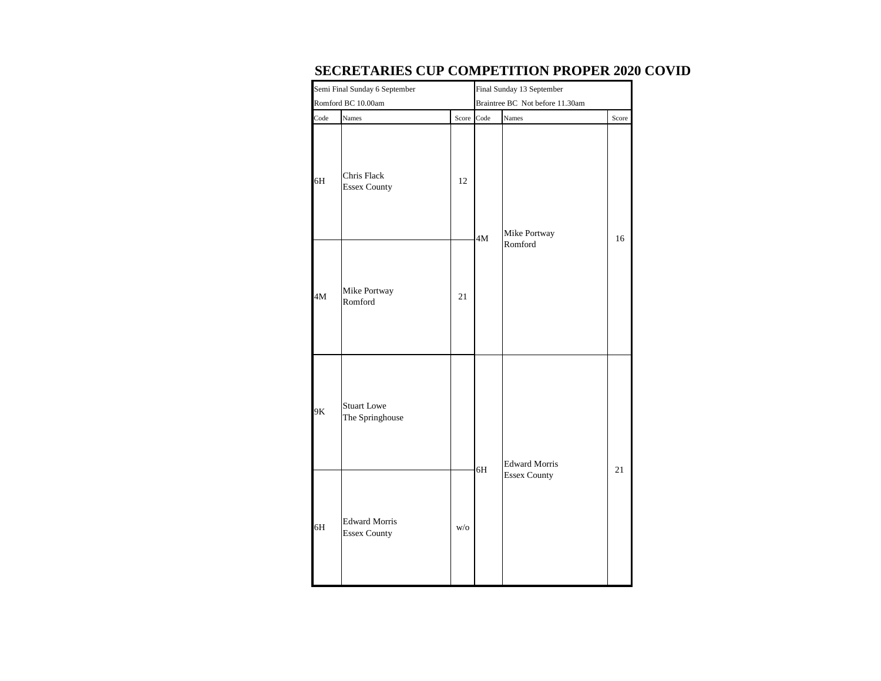|                    | Semi Final Sunday 6 September               | Final Sunday 13 September |                                 |                      |       |  |  |
|--------------------|---------------------------------------------|---------------------------|---------------------------------|----------------------|-------|--|--|
| Romford BC 10.00am |                                             |                           | Braintree BC Not before 11.30am |                      |       |  |  |
| Code               | Names                                       | Score                     | Code                            | Names                | Score |  |  |
| 6H                 | Chris Flack<br><b>Essex County</b>          | 12                        | 4M                              | Mike Portway         | 16    |  |  |
| 4M                 | Mike Portway<br>Romford                     | 21                        |                                 | Romford              |       |  |  |
| 9K                 | <b>Stuart Lowe</b><br>The Springhouse       |                           | 6H                              | <b>Edward Morris</b> | 21    |  |  |
| 6H                 | <b>Edward Morris</b><br><b>Essex County</b> | $\mathrm{W}/\mathrm{O}$   |                                 | <b>Essex County</b>  |       |  |  |

## **SECRETARIES CUP COMPETITION PROPER 2020 COVID**